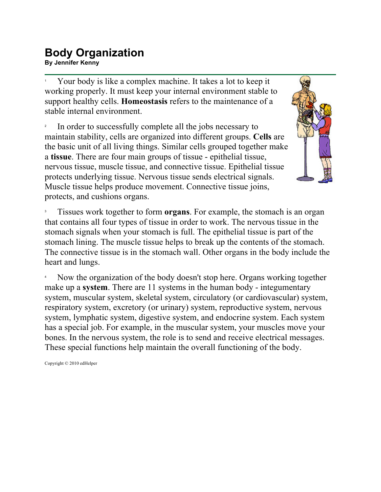## **Body Organization BUUY UI YAI IIZALIUI I**<br>By Jennifer Kenny

1 Your body is like a complex machine. It takes a lot to keep it working properly. It must keep your internal environment stable to support healthy cells. **Homeostasis** refers to the maintenance of a stable internal environment.

2 In order to successfully complete all the jobs necessary to maintain stability, cells are organized into different groups. **Cells** are the basic unit of all living things. Similar cells grouped together make a **tissue**. There are four main groups of tissue - epithelial tissue, nervous tissue, muscle tissue, and connective tissue. Epithelial tissue protects underlying tissue. Nervous tissue sends electrical signals. Muscle tissue helps produce movement. Connective tissue joins, protects, and cushions organs.



3 Tissues work together to form **organs**. For example, the stomach is an organ that contains all four types of tissue in order to work. The nervous tissue in the stomach signals when your stomach is full. The epithelial tissue is part of the stomach lining. The muscle tissue helps to break up the contents of the stomach. The connective tissue is in the stomach wall. Other organs in the body include the heart and lungs.

4 Now the organization of the body doesn't stop here. Organs working together make up a **system**. There are 11 systems in the human body - integumentary system, muscular system, skeletal system, circulatory (or cardiovascular) system, respiratory system, excretory (or urinary) system, reproductive system, nervous system, lymphatic system, digestive system, and endocrine system. Each system has a special job. For example, in the muscular system, your muscles move your bones. In the nervous system, the role is to send and receive electrical messages. These special functions help maintain the overall functioning of the body.

Copyright © 2010 edHelper